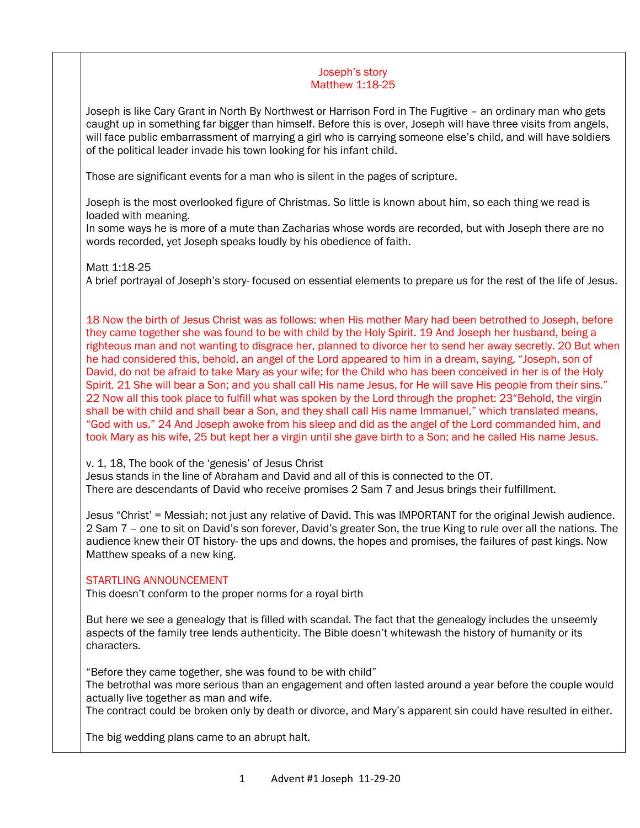## Joseph's story Matthew 1:18-25

Joseph is like Cary Grant in North By Northwest or Harrison Ford in The Fugitive – an ordinary man who gets caught up in something far bigger than himself. Before this is over, Joseph will have three visits from angels, will face public embarrassment of marrying a girl who is carrying someone else's child, and will have soldiers of the political leader invade his town looking for his infant child.

Those are significant events for a man who is silent in the pages of scripture.

Joseph is the most overlooked figure of Christmas. So little is known about him, so each thing we read is loaded with meaning.

In some ways he is more of a mute than Zacharias whose words are recorded, but with Joseph there are no words recorded, yet Joseph speaks loudly by his obedience of faith.

Matt 1:18-25

A brief portrayal of Joseph's story- focused on essential elements to prepare us for the rest of the life of Jesus.

18 Now the birth of Jesus Christ was as follows: when His mother Mary had been betrothed to Joseph, before they came together she was found to be with child by the Holy Spirit. 19 And Joseph her husband, being a righteous man and not wanting to disgrace her, planned to divorce her to send her away secretly. 20 But when he had considered this, behold, an angel of the Lord appeared to him in a dream, saying, "Joseph, son of David, do not be afraid to take Mary as your wife; for the Child who has been conceived in her is of the Holy Spirit. 21 She will bear a Son; and you shall call His name Jesus, for He will save His people from their sins." 22 Now all this took place to fulfill what was spoken by the Lord through the prophet: 23"Behold, the virgin shall be with child and shall bear a Son, and they shall call His name Immanuel," which translated means, "God with us." 24 And Joseph awoke from his sleep and did as the angel of the Lord commanded him, and took Mary as his wife, 25 but kept her a virgin until she gave birth to a Son; and he called His name Jesus.

v. 1, 18, The book of the 'genesis' of Jesus Christ

Jesus stands in the line of Abraham and David and all of this is connected to the OT. There are descendants of David who receive promises 2 Sam 7 and Jesus brings their fulfillment.

Jesus "Christ' = Messiah; not just any relative of David. This was IMPORTANT for the original Jewish audience. 2 Sam 7 – one to sit on David's son forever, David's greater Son, the true King to rule over all the nations. The audience knew their OT history- the ups and downs, the hopes and promises, the failures of past kings. Now Matthew speaks of a new king.

## STARTLING ANNOUNCEMENT

This doesn't conform to the proper norms for a royal birth

But here we see a genealogy that is filled with scandal. The fact that the genealogy includes the unseemly aspects of the family tree lends authenticity. The Bible doesn't whitewash the history of humanity or its characters.

"Before they came together, she was found to be with child"

The betrothal was more serious than an engagement and often lasted around a year before the couple would actually live together as man and wife.

The contract could be broken only by death or divorce, and Mary's apparent sin could have resulted in either.

The big wedding plans came to an abrupt halt.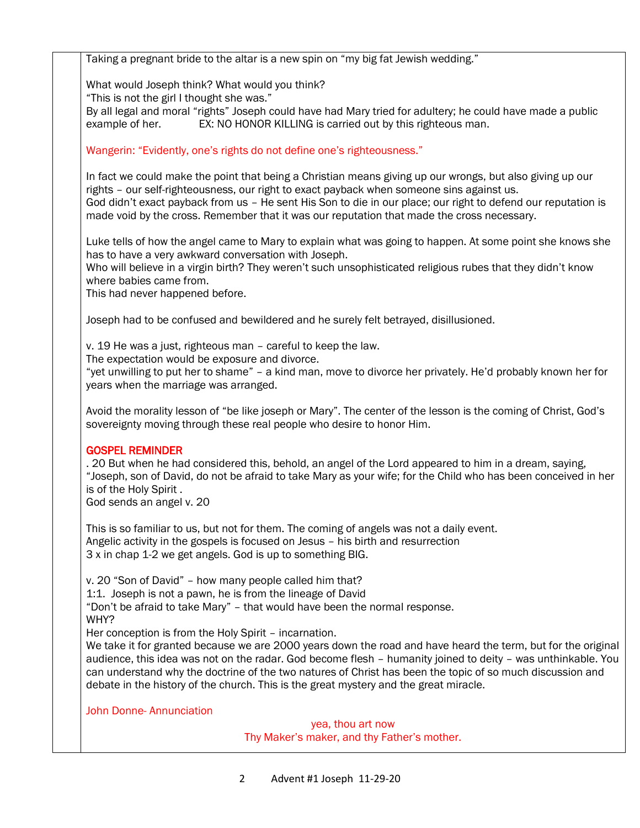Taking a pregnant bride to the altar is a new spin on "my big fat Jewish wedding."

What would Joseph think? What would you think?

"This is not the girl I thought she was."

By all legal and moral "rights" Joseph could have had Mary tried for adultery; he could have made a public example of her. EX: NO HONOR KILLING is carried out by this righteous man.

Wangerin: "Evidently, one's rights do not define one's righteousness."

In fact we could make the point that being a Christian means giving up our wrongs, but also giving up our rights – our self-righteousness, our right to exact payback when someone sins against us. God didn't exact payback from us – He sent His Son to die in our place; our right to defend our reputation is made void by the cross. Remember that it was our reputation that made the cross necessary.

Luke tells of how the angel came to Mary to explain what was going to happen. At some point she knows she has to have a very awkward conversation with Joseph.

Who will believe in a virgin birth? They weren't such unsophisticated religious rubes that they didn't know where babies came from.

This had never happened before.

Joseph had to be confused and bewildered and he surely felt betrayed, disillusioned.

v. 19 He was a just, righteous man – careful to keep the law.

The expectation would be exposure and divorce.

"yet unwilling to put her to shame" – a kind man, move to divorce her privately. He'd probably known her for years when the marriage was arranged.

Avoid the morality lesson of "be like joseph or Mary". The center of the lesson is the coming of Christ, God's sovereignty moving through these real people who desire to honor Him.

# GOSPEL REMINDER

. 20 But when he had considered this, behold, an angel of the Lord appeared to him in a dream, saying, "Joseph, son of David, do not be afraid to take Mary as your wife; for the Child who has been conceived in her is of the Holy Spirit .

God sends an angel v. 20

This is so familiar to us, but not for them. The coming of angels was not a daily event. Angelic activity in the gospels is focused on Jesus – his birth and resurrection 3 x in chap 1-2 we get angels. God is up to something BIG.

v. 20 "Son of David" – how many people called him that?

1:1. Joseph is not a pawn, he is from the lineage of David

"Don't be afraid to take Mary" – that would have been the normal response. WHY?

Her conception is from the Holy Spirit – incarnation.

We take it for granted because we are 2000 years down the road and have heard the term, but for the original audience, this idea was not on the radar. God become flesh – humanity joined to deity – was unthinkable. You can understand why the doctrine of the two natures of Christ has been the topic of so much discussion and debate in the history of the church. This is the great mystery and the great miracle.

John Donne- Annunciation

yea, thou art now Thy Maker's maker, and thy Father's mother.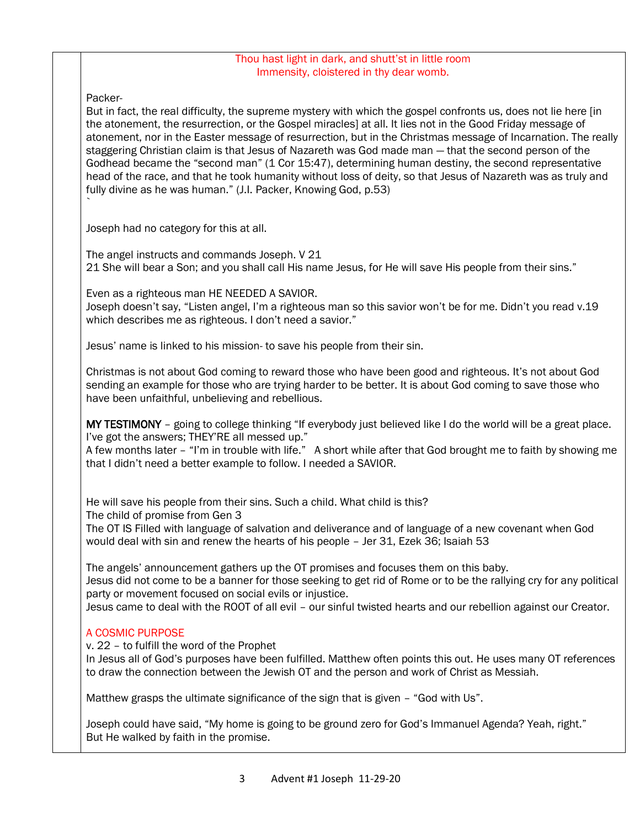### Thou hast light in dark, and shutt'st in little room Immensity, cloistered in thy dear womb.

Packer-

`

But in fact, the real difficulty, the supreme mystery with which the gospel confronts us, does not lie here [in the atonement, the resurrection, or the Gospel miracles] at all. It lies not in the Good Friday message of atonement, nor in the Easter message of resurrection, but in the Christmas message of Incarnation. The really staggering Christian claim is that Jesus of Nazareth was God made man — that the second person of the Godhead became the "second man" (1 Cor 15:47), determining human destiny, the second representative head of the race, and that he took humanity without loss of deity, so that Jesus of Nazareth was as truly and fully divine as he was human." (J.I. Packer, Knowing God, p.53)

Joseph had no category for this at all.

The angel instructs and commands Joseph. V 21 21 She will bear a Son; and you shall call His name Jesus, for He will save His people from their sins."

Even as a righteous man HE NEEDED A SAVIOR.

Joseph doesn't say, "Listen angel, I'm a righteous man so this savior won't be for me. Didn't you read v.19 which describes me as righteous. I don't need a savior."

Jesus' name is linked to his mission- to save his people from their sin.

Christmas is not about God coming to reward those who have been good and righteous. It's not about God sending an example for those who are trying harder to be better. It is about God coming to save those who have been unfaithful, unbelieving and rebellious.

MY TESTIMONY – going to college thinking "If everybody just believed like I do the world will be a great place. I've got the answers; THEY'RE all messed up."

A few months later – "I'm in trouble with life." A short while after that God brought me to faith by showing me that I didn't need a better example to follow. I needed a SAVIOR.

He will save his people from their sins. Such a child. What child is this? The child of promise from Gen 3

The OT IS Filled with language of salvation and deliverance and of language of a new covenant when God would deal with sin and renew the hearts of his people – Jer 31, Ezek 36; Isaiah 53

The angels' announcement gathers up the OT promises and focuses them on this baby. Jesus did not come to be a banner for those seeking to get rid of Rome or to be the rallying cry for any political

party or movement focused on social evils or injustice.

Jesus came to deal with the ROOT of all evil – our sinful twisted hearts and our rebellion against our Creator.

# A COSMIC PURPOSE

v. 22 – to fulfill the word of the Prophet

In Jesus all of God's purposes have been fulfilled. Matthew often points this out. He uses many OT references to draw the connection between the Jewish OT and the person and work of Christ as Messiah.

Matthew grasps the ultimate significance of the sign that is given – "God with Us".

Joseph could have said, "My home is going to be ground zero for God's Immanuel Agenda? Yeah, right." But He walked by faith in the promise.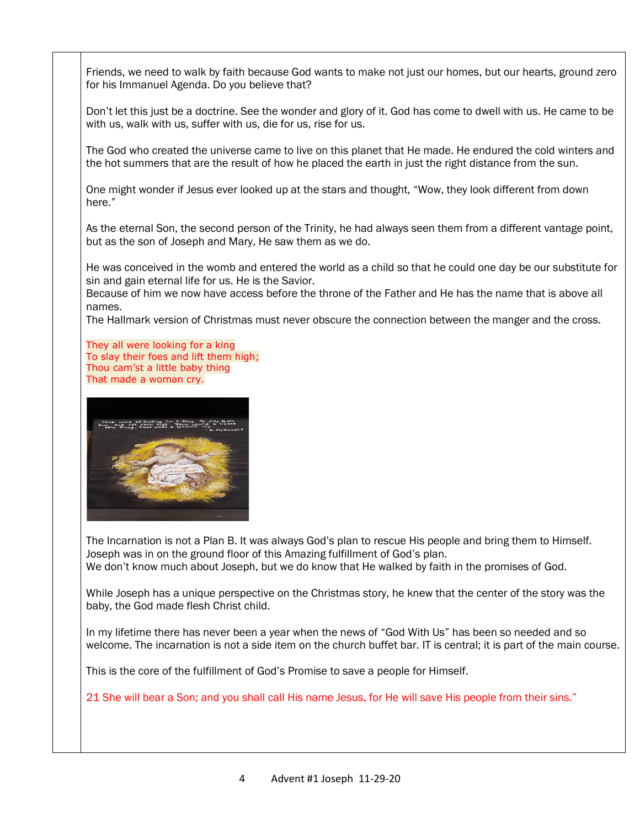Friends, we need to walk by faith because God wants to make not just our homes, but our hearts, ground zero for his Immanuel Agenda. Do you believe that?

Don't let this just be a doctrine. See the wonder and glory of it. God has come to dwell with us. He came to be with us, walk with us, suffer with us, die for us, rise for us.

The God who created the universe came to live on this planet that He made. He endured the cold winters and the hot summers that are the result of how he placed the earth in just the right distance from the sun.

One might wonder if Jesus ever looked up at the stars and thought, "Wow, they look different from down here."

As the eternal Son, the second person of the Trinity, he had always seen them from a different vantage point, but as the son of Joseph and Mary, He saw them as we do.

He was conceived in the womb and entered the world as a child so that he could one day be our substitute for sin and gain eternal life for us. He is the Savior.

Because of him we now have access before the throne of the Father and He has the name that is above all names.

The Hallmark version of Christmas must never obscure the connection between the manger and the cross.

They all were looking for a king To slay their foes and lift them high; Thou cam'st a little baby thing That made a woman cry.



The Incarnation is not a Plan B. It was always God's plan to rescue His people and bring them to Himself. Joseph was in on the ground floor of this Amazing fulfillment of God's plan. We don't know much about Joseph, but we do know that He walked by faith in the promises of God.

While Joseph has a unique perspective on the Christmas story, he knew that the center of the story was the baby, the God made flesh Christ child.

In my lifetime there has never been a year when the news of "God With Us" has been so needed and so welcome. The incarnation is not a side item on the church buffet bar. IT is central; it is part of the main course.

This is the core of the fulfillment of God's Promise to save a people for Himself.

21 She will bear a Son; and you shall call His name Jesus, for He will save His people from their sins."